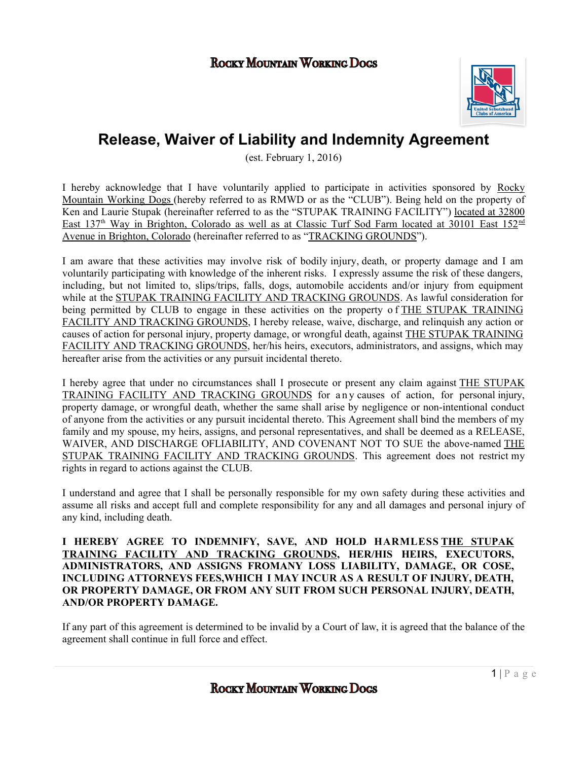### Rocky Mountain Working Dogs



# **Release, Waiver of Liability and Indemnity Agreement**

(est. February 1, 2016)

I hereby acknowledge that I have voluntarily applied to participate in activities sponsored by Rocky Mountain Working Dogs (hereby referred to as RMWD or as the "CLUB"). Being held on the property of Ken and Laurie Stupak (hereinafter referred to as the "STUPAK TRAINING FACILITY") located at 32800 East 137<sup>th</sup> Way in Brighton, Colorado as well as at Classic Turf Sod Farm located at 30101 East 152<sup>nd</sup> Avenue in Brighton, Colorado (hereinafter referred to as "TRACKING GROUNDS").

I am aware that these activities may involve risk of bodily injury, death, or property damage and I am voluntarily participating with knowledge of the inherent risks. I expressly assume the risk of these dangers, including, but not limited to, slips/trips, falls, dogs, automobile accidents and/or injury from equipment while at the STUPAK TRAINING FACILITY AND TRACKING GROUNDS. As lawful consideration for being permitted by CLUB to engage in these activities on the property of THE STUPAK TRAINING FACILITY AND TRACKING GROUNDS, I hereby release, waive, discharge, and relinquish any action or causes of action for personal injury, property damage, or wrongful death, against THE STUPAK TRAINING FACILITY AND TRACKING GROUNDS, her/his heirs, executors, administrators, and assigns, which may hereafter arise from the activities or any pursuit incidental thereto.

I hereby agree that under no circumstances shall I prosecute or present any claim against THE STUPAK TRAINING FACILITY AND TRACKING GROUNDS for any causes of action, for personal injury, property damage, or wrongful death, whether the same shall arise by negligence or non-intentional conduct of anyone from the activities or any pursuit incidental thereto. This Agreement shall bind the members of my family and my spouse, my heirs, assigns, and personal representatives, and shall be deemed as a RELEASE, WAIVER, AND DISCHARGE OFLIABILITY, AND COVENANT NOT TO SUE the above-named THE STUPAK TRAINING FACILITY AND TRACKING GROUNDS. This agreement does not restrict my rights in regard to actions against the CLUB.

I understand and agree that I shall be personally responsible for my own safety during these activities and assume all risks and accept full and complete responsibility for any and all damages and personal injury of any kind, including death.

**I HEREBY AGREE TO INDEMNIFY, SAVE, AND HOLD HARMLESS THE STUPAK TRAINING FACILITY AND TRACKING GROUNDS, HER/HIS HEIRS, EXECUTORS, ADMINISTRATORS, AND ASSIGNS FROMANY LOSS LIABILITY, DAMAGE, OR COSE, INCLUDING ATTORNEYS FEES,WHICH I MAY INCUR AS A RESULT OF INJURY, DEATH, OR PROPERTY DAMAGE, OR FROM ANY SUIT FROM SUCH PERSONAL INJURY, DEATH, AND/OR PROPERTY DAMAGE.**

If any part of this agreement is determined to be invalid by a Court of law, it is agreed that the balance of the agreement shall continue in full force and effect.

Rocky Mountain Working Dogs